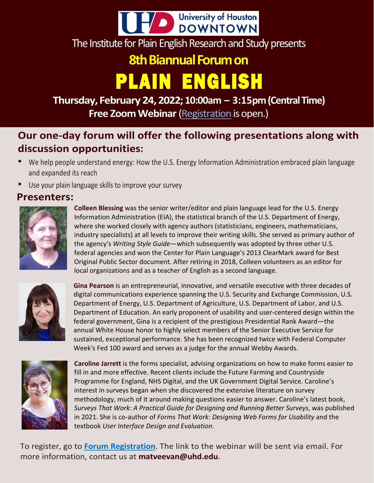

The Institute for Plain English Research and Study presents

### **8th Biannual Forum on**

## PLAIN ENGLISH

**Thursday,February 24,2022; 10:00am – 3:15pm(Central Time) Free Zoom Webinar** [\(Registration](https://uhd.qualtrics.com/jfe/form/SV_6FHli0ynasK2P42) is open.)

### **Our one-day forum will offer the following presentations along with discussion opportunities:**

- We help people understand energy: How the U.S. Energy Information Administration embraced plain language and expanded its reach
- Use your plain language skills to improve your survey

#### **Presenters:**



**Colleen Blessing** was the senior writer/editor and plain language lead for the U.S. Energy Information Administration (EIA), the statistical branch of the U.S. Department of Energy, where she worked closely with agency authors (statisticians, engineers, mathematicians, industry specialists) at all levels to improve their writing skills. She served as primary author of the agency's *Writing Style Guide*—which subsequently was adopted by three other U.S. federal agencies and won the Center for Plain Language's 2013 ClearMark award for Best Original Public Sector document. After retiring in 2018, Colleen volunteers as an editor for local organizations and as a teacher of English as a second language.



**Gina Pearson** is an entrepreneurial, innovative, and versatile executive with three decades of digital communications experience spanning the U.S. Security and Exchange Commission, U.S. Department of Energy, U.S. Department of Agriculture, U.S. Department of Labor, and U.S. Department of Education. An early proponent of usability and user-centered design within the federal government, Gina is a recipient of the prestigious Presidential Rank Award—the annual White House honor to highly select members of the Senior Executive Service for sustained, exceptional performance. She has been recognized twice with Federal Computer Week's Fed 100 award and serves as a judge for the annual Webby Awards.



**Caroline Jarrett** is the forms specialist, advising organizations on how to make forms easier to fill in and more effective. Recent clients include the Future Farming and Countryside Programme for England, NHS Digital, and the UK Government Digital Service. Caroline's interest in surveys began when she discovered the extensive literature on survey methodology, much of it around making questions easier to answer. Caroline's latest book, *Surveys That Work: A Practical Guide for Designing and Running Better Surveys*, was published in 2021. She is co-author of *Forms That Work: Designing Web Forms for Usability* and the textbook *User Interface Design and Evaluation*.

To register, go to **Forum [Registration](https://uhd.qualtrics.com/jfe/form/SV_6FHli0ynasK2P42)**. The link to the webinar will be sent via email. For more information, contact us at **[matveevan@uhd.edu](mailto:matveevan@uhd.edu)**.